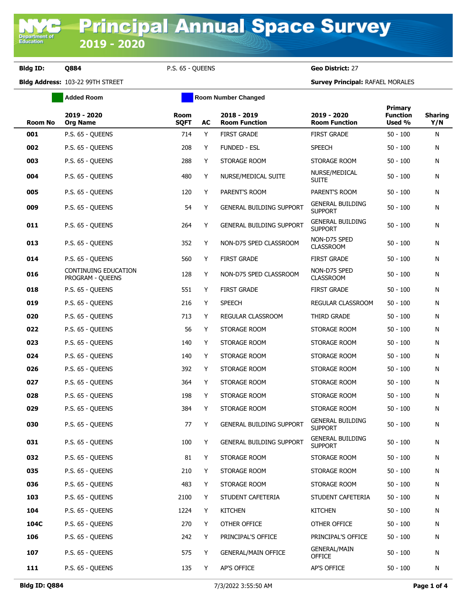**Department of**<br>Education

**Bldg ID: Q884** P.S. 65 - QUEENS **Geo District:** 27

**Bldg Address:** 103-22 99TH STREET **Survey Principal:** RAFAEL MORALES

| <b>Room No</b> | 2019 - 2020<br><b>Org Name</b>           | Room<br><b>SQFT</b> | AC | 2018 - 2019<br><b>Room Function</b> | 2019 - 2020<br><b>Room Function</b>       | <b>Primary</b><br><b>Function</b><br>Used % | <b>Sharing</b><br>Y/N |
|----------------|------------------------------------------|---------------------|----|-------------------------------------|-------------------------------------------|---------------------------------------------|-----------------------|
| 001            | P.S. 65 - QUEENS                         | 714                 | Y  | <b>FIRST GRADE</b>                  | <b>FIRST GRADE</b>                        | $50 - 100$                                  | N                     |
| 002            | P.S. 65 - QUEENS                         | 208                 | Y  | <b>FUNDED - ESL</b>                 | <b>SPEECH</b>                             | $50 - 100$                                  | N                     |
| 003            | P.S. 65 - QUEENS                         | 288                 | Y  | STORAGE ROOM                        | STORAGE ROOM                              | $50 - 100$                                  | N                     |
| 004            | P.S. 65 - QUEENS                         | 480                 | Y  | NURSE/MEDICAL SUITE                 | NURSE/MEDICAL<br><b>SUITE</b>             | $50 - 100$                                  | N                     |
| 005            | P.S. 65 - QUEENS                         | 120                 | Y  | PARENT'S ROOM                       | PARENT'S ROOM                             | $50 - 100$                                  | N                     |
| 009            | P.S. 65 - QUEENS                         | 54                  | Y  | <b>GENERAL BUILDING SUPPORT</b>     | <b>GENERAL BUILDING</b><br><b>SUPPORT</b> | $50 - 100$                                  | N                     |
| 011            | P.S. 65 - QUEENS                         | 264                 | Y  | GENERAL BUILDING SUPPORT            | <b>GENERAL BUILDING</b><br><b>SUPPORT</b> | $50 - 100$                                  | N                     |
| 013            | P.S. 65 - QUEENS                         | 352                 | Y  | NON-D75 SPED CLASSROOM              | NON-D75 SPED<br><b>CLASSROOM</b>          | $50 - 100$                                  | N                     |
| 014            | P.S. 65 - QUEENS                         | 560                 | Y  | <b>FIRST GRADE</b>                  | <b>FIRST GRADE</b>                        | $50 - 100$                                  | N                     |
| 016            | CONTINUING EDUCATION<br>PROGRAM - QUEENS | 128                 | Y  | NON-D75 SPED CLASSROOM              | NON-D75 SPED<br><b>CLASSROOM</b>          | $50 - 100$                                  | N                     |
| 018            | P.S. 65 - QUEENS                         | 551                 | Y  | <b>FIRST GRADE</b>                  | <b>FIRST GRADE</b>                        | $50 - 100$                                  | N                     |
| 019            | P.S. 65 - QUEENS                         | 216                 | Y  | <b>SPEECH</b>                       | REGULAR CLASSROOM                         | $50 - 100$                                  | N                     |
| 020            | P.S. 65 - QUEENS                         | 713                 | Y  | REGULAR CLASSROOM                   | THIRD GRADE                               | $50 - 100$                                  | N                     |
| 022            | P.S. 65 - QUEENS                         | 56                  | Y  | STORAGE ROOM                        | STORAGE ROOM                              | $50 - 100$                                  | N                     |
| 023            | P.S. 65 - QUEENS                         | 140                 | Y  | STORAGE ROOM                        | STORAGE ROOM                              | $50 - 100$                                  | N                     |
| 024            | P.S. 65 - QUEENS                         | 140                 | Y  | STORAGE ROOM                        | STORAGE ROOM                              | $50 - 100$                                  | N                     |
| 026            | P.S. 65 - QUEENS                         | 392                 | Y  | STORAGE ROOM                        | STORAGE ROOM                              | $50 - 100$                                  | N                     |
| 027            | P.S. 65 - QUEENS                         | 364                 | Y  | STORAGE ROOM                        | STORAGE ROOM                              | $50 - 100$                                  | N                     |
| 028            | P.S. 65 - QUEENS                         | 198                 | Y  | STORAGE ROOM                        | STORAGE ROOM                              | $50 - 100$                                  | N                     |
| 029            | P.S. 65 - QUEENS                         | 384                 | Y  | STORAGE ROOM                        | STORAGE ROOM                              | $50 - 100$                                  | N                     |
| 030            | P.S. 65 - QUEENS                         | 77                  | Y  | <b>GENERAL BUILDING SUPPORT</b>     | <b>GENERAL BUILDING</b><br><b>SUPPORT</b> | $50 - 100$                                  | N                     |
| 031            | P.S. 65 - QUEENS                         | 100                 | Y  | GENERAL BUILDING SUPPORT            | <b>GENERAL BUILDING</b><br><b>SUPPORT</b> | $50 - 100$                                  | N                     |
| 032            | P.S. 65 - QUEENS                         | 81                  | Y  | STORAGE ROOM                        | STORAGE ROOM                              | $50 - 100$                                  | N                     |
| 035            | P.S. 65 - QUEENS                         | 210                 | Y  | STORAGE ROOM                        | STORAGE ROOM                              | $50 - 100$                                  | N                     |
| 036            | P.S. 65 - QUEENS                         | 483                 | Y  | STORAGE ROOM                        | STORAGE ROOM                              | $50 - 100$                                  | N                     |
| 103            | P.S. 65 - QUEENS                         | 2100                | Y  | STUDENT CAFETERIA                   | STUDENT CAFETERIA                         | $50 - 100$                                  | N                     |
| 104            | P.S. 65 - QUEENS                         | 1224                | Y  | <b>KITCHEN</b>                      | <b>KITCHEN</b>                            | $50 - 100$                                  | N                     |
| 104C           | P.S. 65 - QUEENS                         | 270                 | Y  | OTHER OFFICE                        | OTHER OFFICE                              | $50 - 100$                                  | N                     |
| 106            | P.S. 65 - QUEENS                         | 242                 | Y  | PRINCIPAL'S OFFICE                  | PRINCIPAL'S OFFICE                        | $50 - 100$                                  | N                     |
| 107            | P.S. 65 - QUEENS                         | 575                 | Y  | <b>GENERAL/MAIN OFFICE</b>          | <b>GENERAL/MAIN</b><br><b>OFFICE</b>      | $50 - 100$                                  | N                     |
| 111            | P.S. 65 - QUEENS                         | 135                 | Y  | AP'S OFFICE                         | AP'S OFFICE                               | $50 - 100$                                  | N                     |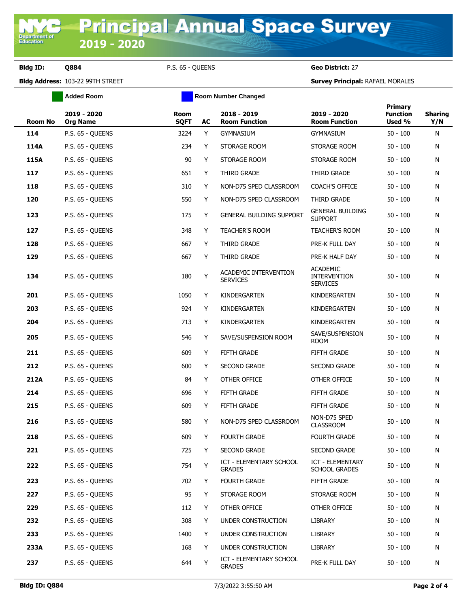**Added Room Room Room Number Changed** 

**Bldg ID: Q884** P.S. 65 - QUEENS **Geo District:** 27

**Bldg Address:** 103-22 99TH STREET **Survey Principal:** RAFAEL MORALES

| <b>Room No</b> | 2019 - 2020<br><b>Org Name</b> | Room<br><b>SQFT</b> | AC | 2018 - 2019<br><b>Room Function</b>             | 2019 - 2020<br><b>Room Function</b>                       | Primary<br><b>Function</b><br>Used % | <b>Sharing</b><br>Y/N |
|----------------|--------------------------------|---------------------|----|-------------------------------------------------|-----------------------------------------------------------|--------------------------------------|-----------------------|
| 114            | P.S. 65 - QUEENS               | 3224                | Y  | <b>GYMNASIUM</b>                                | <b>GYMNASIUM</b>                                          | $50 - 100$                           | N                     |
| 114A           | P.S. 65 - QUEENS               | 234                 | Y  | STORAGE ROOM                                    | STORAGE ROOM                                              | $50 - 100$                           | N                     |
| 115A           | P.S. 65 - QUEENS               | 90                  | Y  | STORAGE ROOM                                    | STORAGE ROOM                                              | $50 - 100$                           | N                     |
| 117            | P.S. 65 - QUEENS               | 651                 | Y  | THIRD GRADE                                     | THIRD GRADE                                               | $50 - 100$                           | N                     |
| 118            | P.S. 65 - QUEENS               | 310                 | Y  | NON-D75 SPED CLASSROOM                          | COACH'S OFFICE                                            | $50 - 100$                           | N                     |
| 120            | P.S. 65 - QUEENS               | 550                 | Y  | NON-D75 SPED CLASSROOM                          | THIRD GRADE                                               | $50 - 100$                           | N                     |
| 123            | P.S. 65 - QUEENS               | 175                 | Y  | GENERAL BUILDING SUPPORT                        | <b>GENERAL BUILDING</b><br><b>SUPPORT</b>                 | $50 - 100$                           | N                     |
| 127            | P.S. 65 - QUEENS               | 348                 | Y  | <b>TEACHER'S ROOM</b>                           | <b>TEACHER'S ROOM</b>                                     | $50 - 100$                           | N                     |
| 128            | P.S. 65 - QUEENS               | 667                 | Y  | THIRD GRADE                                     | PRE-K FULL DAY                                            | $50 - 100$                           | N                     |
| 129            | P.S. 65 - QUEENS               | 667                 | Y  | THIRD GRADE                                     | PRE-K HALF DAY                                            | $50 - 100$                           | N                     |
| 134            | P.S. 65 - QUEENS               | 180                 | Υ  | ACADEMIC INTERVENTION<br><b>SERVICES</b>        | <b>ACADEMIC</b><br><b>INTERVENTION</b><br><b>SERVICES</b> | $50 - 100$                           | N                     |
| 201            | P.S. 65 - QUEENS               | 1050                | Y  | KINDERGARTEN                                    | KINDERGARTEN                                              | $50 - 100$                           | N                     |
| 203            | P.S. 65 - QUEENS               | 924                 | Y  | KINDERGARTEN                                    | KINDERGARTEN                                              | $50 - 100$                           | N                     |
| 204            | P.S. 65 - QUEENS               | 713                 | Y  | KINDERGARTEN                                    | KINDERGARTEN                                              | $50 - 100$                           | N                     |
| 205            | P.S. 65 - QUEENS               | 546                 | Y  | SAVE/SUSPENSION ROOM                            | SAVE/SUSPENSION<br><b>ROOM</b>                            | $50 - 100$                           | N                     |
| 211            | P.S. 65 - QUEENS               | 609                 | Y  | <b>FIFTH GRADE</b>                              | <b>FIFTH GRADE</b>                                        | $50 - 100$                           | N                     |
| 212            | P.S. 65 - QUEENS               | 600                 | Y  | <b>SECOND GRADE</b>                             | <b>SECOND GRADE</b>                                       | $50 - 100$                           | N                     |
| 212A           | P.S. 65 - QUEENS               | 84                  | Y  | OTHER OFFICE                                    | OTHER OFFICE                                              | $50 - 100$                           | N                     |
| 214            | P.S. 65 - QUEENS               | 696                 | Y  | <b>FIFTH GRADE</b>                              | <b>FIFTH GRADE</b>                                        | $50 - 100$                           | N                     |
| 215            | P.S. 65 - QUEENS               | 609                 | Y  | <b>FIFTH GRADE</b>                              | FIFTH GRADE                                               | $50 - 100$                           | N                     |
| 216            | P.S. 65 - QUEENS               | 580                 | Y  | NON-D75 SPED CLASSROOM                          | NON-D75 SPED<br><b>CLASSROOM</b>                          | $50 - 100$                           | N                     |
| 218            | P.S. 65 - QUEENS               | 609                 | Y  | <b>FOURTH GRADE</b>                             | <b>FOURTH GRADE</b>                                       | $50 - 100$                           | N                     |
| 221            | P.S. 65 - QUEENS               | 725                 | Y  | <b>SECOND GRADE</b>                             | <b>SECOND GRADE</b>                                       | $50 - 100$                           | N                     |
| 222            | P.S. 65 - QUEENS               | 754                 | Y  | <b>ICT - ELEMENTARY SCHOOL</b><br><b>GRADES</b> | ICT - ELEMENTARY<br><b>SCHOOL GRADES</b>                  | $50 - 100$                           | N                     |
| 223            | P.S. 65 - QUEENS               | 702                 | Y  | <b>FOURTH GRADE</b>                             | FIFTH GRADE                                               | $50 - 100$                           | N                     |
| 227            | P.S. 65 - QUEENS               | 95                  | Y  | STORAGE ROOM                                    | STORAGE ROOM                                              | $50 - 100$                           | N                     |
| 229            | P.S. 65 - QUEENS               | 112                 | Y  | OTHER OFFICE                                    | OTHER OFFICE                                              | $50 - 100$                           | N                     |
| 232            | P.S. 65 - QUEENS               | 308                 | Y  | UNDER CONSTRUCTION                              | LIBRARY                                                   | $50 - 100$                           | N                     |
| 233            | P.S. 65 - QUEENS               | 1400                | Y  | UNDER CONSTRUCTION                              | LIBRARY                                                   | $50 - 100$                           | N                     |
| 233A           | P.S. 65 - QUEENS               | 168                 | Y  | UNDER CONSTRUCTION                              | LIBRARY                                                   | $50 - 100$                           | N                     |
| 237            | P.S. 65 - QUEENS               | 644                 | Y  | ICT - ELEMENTARY SCHOOL<br><b>GRADES</b>        | PRE-K FULL DAY                                            | $50 - 100$                           | N                     |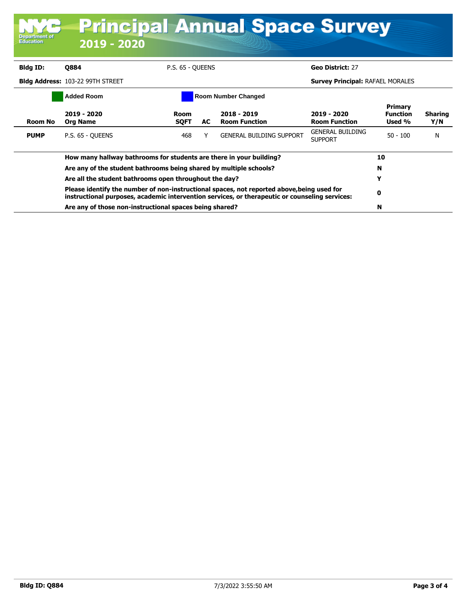| <b>Department of</b><br><b>Education</b>        | 2019 - 2020                                                                                                                                                                                                                                                                                                                                                                             |                                         |     | <b>Principal Annual Space Survey</b>  |                                           |                                      |                       |
|-------------------------------------------------|-----------------------------------------------------------------------------------------------------------------------------------------------------------------------------------------------------------------------------------------------------------------------------------------------------------------------------------------------------------------------------------------|-----------------------------------------|-----|---------------------------------------|-------------------------------------------|--------------------------------------|-----------------------|
| Bldg ID:                                        | <b>Q884</b>                                                                                                                                                                                                                                                                                                                                                                             | P.S. 65 - QUEENS                        |     |                                       | Geo District: 27                          |                                      |                       |
|                                                 | Bldg Address: 103-22 99TH STREET                                                                                                                                                                                                                                                                                                                                                        | <b>Survey Principal: RAFAEL MORALES</b> |     |                                       |                                           |                                      |                       |
| <b>Added Room</b><br><b>Room Number Changed</b> |                                                                                                                                                                                                                                                                                                                                                                                         |                                         |     |                                       |                                           |                                      |                       |
| <b>Room No</b>                                  | 2019 - 2020<br><b>Org Name</b>                                                                                                                                                                                                                                                                                                                                                          | Room<br><b>SOFT</b>                     | AC. | $2018 - 2019$<br><b>Room Function</b> | 2019 - 2020<br><b>Room Function</b>       | Primary<br><b>Function</b><br>Used % | <b>Sharing</b><br>Y/N |
| <b>PUMP</b>                                     | P.S. 65 - OUEENS                                                                                                                                                                                                                                                                                                                                                                        | 468                                     | Υ   | <b>GENERAL BUILDING SUPPORT</b>       | <b>GENERAL BUILDING</b><br><b>SUPPORT</b> | $50 - 100$                           | N                     |
|                                                 | How many hallway bathrooms for students are there in your building?                                                                                                                                                                                                                                                                                                                     |                                         |     |                                       |                                           |                                      |                       |
|                                                 | Are any of the student bathrooms being shared by multiple schools?<br>Are all the student bathrooms open throughout the day?<br>Please identify the number of non-instructional spaces, not reported above, being used for<br>instructional purposes, academic intervention services, or therapeutic or counseling services:<br>Are any of those non-instructional spaces being shared? |                                         |     |                                       |                                           | N                                    |                       |
|                                                 |                                                                                                                                                                                                                                                                                                                                                                                         |                                         |     |                                       |                                           | Y                                    |                       |
|                                                 |                                                                                                                                                                                                                                                                                                                                                                                         |                                         |     |                                       |                                           | 0                                    |                       |
|                                                 |                                                                                                                                                                                                                                                                                                                                                                                         |                                         |     |                                       |                                           | N                                    |                       |

т.